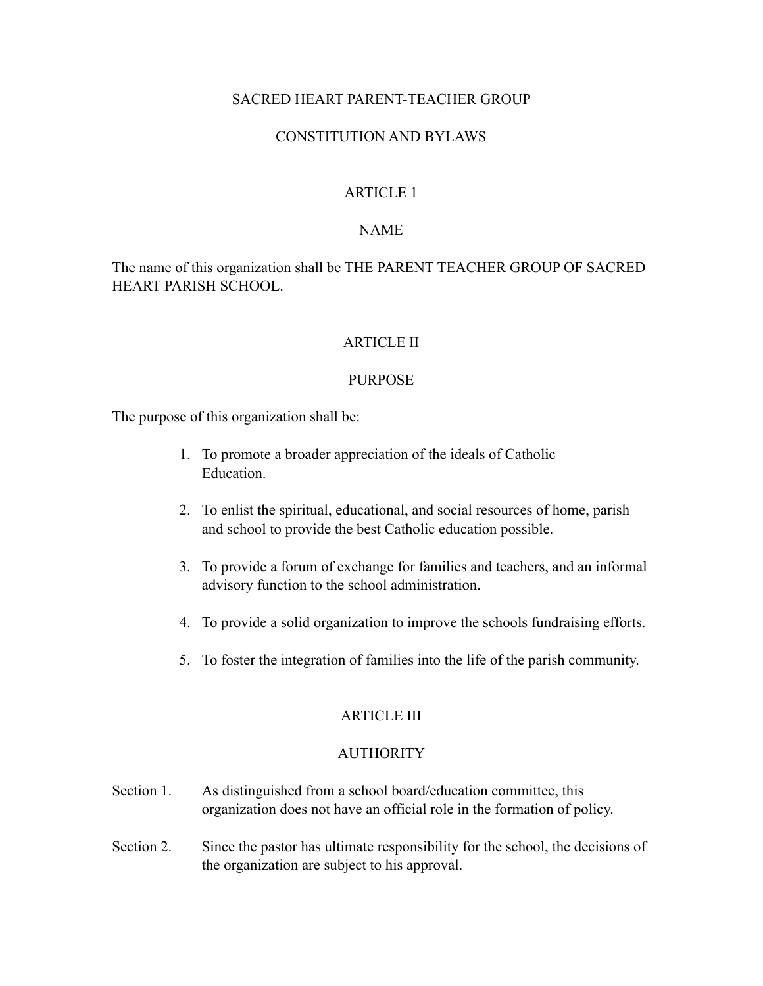## SACRED HEART PARENT-TEACHER GROUP

## CONSTITUTION AND BYLAWS

### ARTICLE 1

#### NAME

The name of this organization shall be THE PARENT TEACHER GROUP OF SACRED HEART PARISH SCHOOL.

## ARTICLE II

#### PURPOSE

The purpose of this organization shall be:

- 1. To promote a broader appreciation of the ideals of Catholic Education.
- 2. To enlist the spiritual, educational, and social resources of home, parish and school to provide the best Catholic education possible.
- 3. To provide a forum of exchange for families and teachers, and an informal advisory function to the school administration.
- 4. To provide a solid organization to improve the schools fundraising efforts.
- 5. To foster the integration of families into the life of the parish community.

### ARTICLE III

#### **AUTHORITY**

- Section 1. As distinguished from a school board/education committee, this organization does not have an official role in the formation of policy.
- Section 2. Since the pastor has ultimate responsibility for the school, the decisions of the organization are subject to his approval.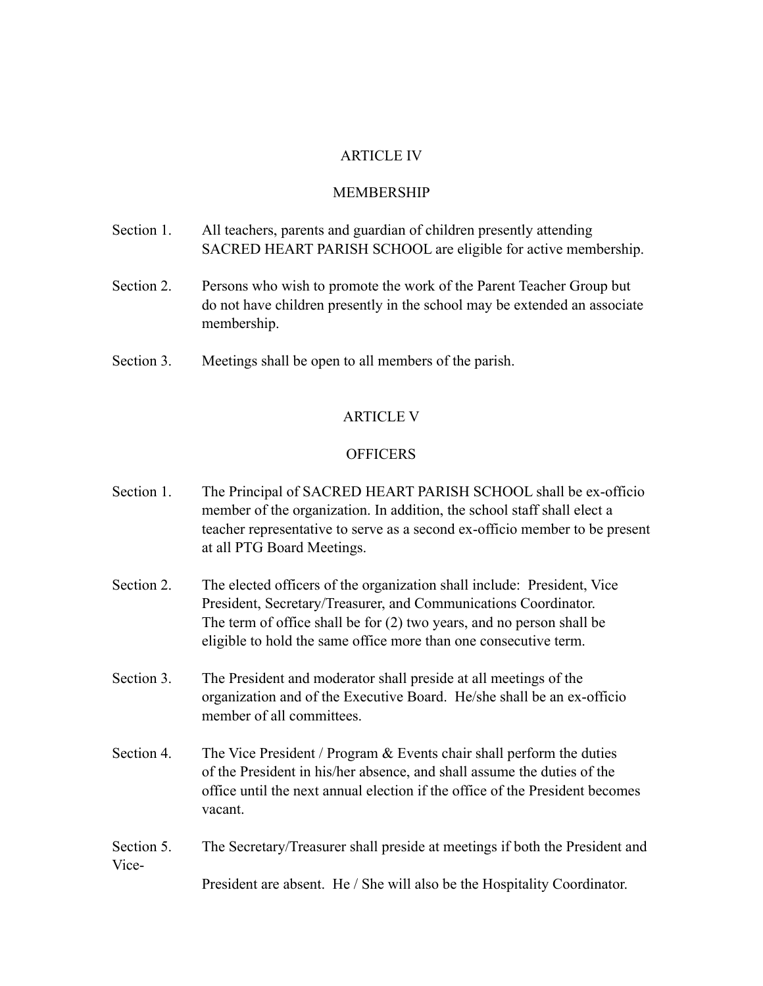#### ARTICLE IV

#### MEMBERSHIP

- Section 1. All teachers, parents and guardian of children presently attending SACRED HEART PARISH SCHOOL are eligible for active membership.
- Section 2. Persons who wish to promote the work of the Parent Teacher Group but do not have children presently in the school may be extended an associate membership.
- Section 3. Meetings shall be open to all members of the parish.

#### ARTICLE V

#### **OFFICERS**

- Section 1. The Principal of SACRED HEART PARISH SCHOOL shall be ex-officio member of the organization. In addition, the school staff shall elect a teacher representative to serve as a second ex-officio member to be present at all PTG Board Meetings.
- Section 2. The elected officers of the organization shall include: President, Vice President, Secretary/Treasurer, and Communications Coordinator. The term of office shall be for (2) two years, and no person shall be eligible to hold the same office more than one consecutive term.
- Section 3. The President and moderator shall preside at all meetings of the organization and of the Executive Board. He/she shall be an ex-officio member of all committees.
- Section 4. The Vice President / Program & Events chair shall perform the duties of the President in his/her absence, and shall assume the duties of the office until the next annual election if the office of the President becomes vacant.
- Section 5. The Secretary/Treasurer shall preside at meetings if both the President and Vice- President are absent. He / She will also be the Hospitality Coordinator.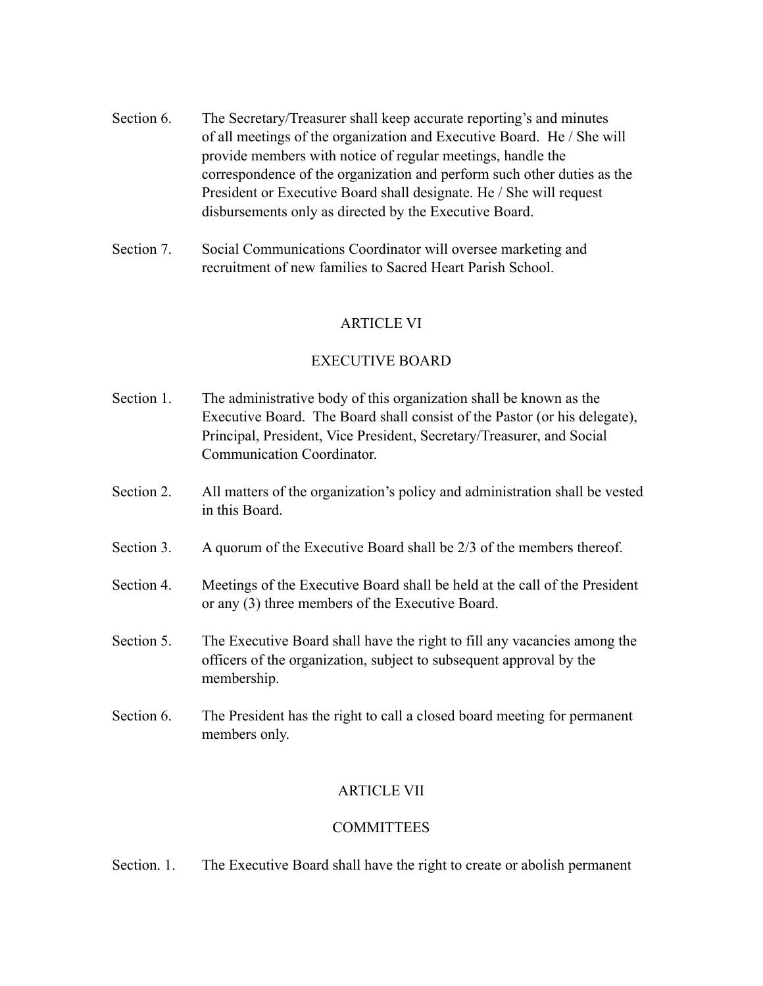- Section 6. The Secretary/Treasurer shall keep accurate reporting's and minutes of all meetings of the organization and Executive Board. He / She will provide members with notice of regular meetings, handle the correspondence of the organization and perform such other duties as the President or Executive Board shall designate. He / She will request disbursements only as directed by the Executive Board.
- Section 7. Social Communications Coordinator will oversee marketing and recruitment of new families to Sacred Heart Parish School.

## ARTICLE VI

### EXECUTIVE BOARD

- Section 1. The administrative body of this organization shall be known as the Executive Board. The Board shall consist of the Pastor (or his delegate), Principal, President, Vice President, Secretary/Treasurer, and Social Communication Coordinator.
- Section 2. All matters of the organization's policy and administration shall be vested in this Board.
- Section 3. A quorum of the Executive Board shall be 2/3 of the members thereof.
- Section 4. Meetings of the Executive Board shall be held at the call of the President or any (3) three members of the Executive Board.
- Section 5. The Executive Board shall have the right to fill any vacancies among the officers of the organization, subject to subsequent approval by the membership.
- Section 6. The President has the right to call a closed board meeting for permanent members only.

# ARTICLE VII

### **COMMITTEES**

Section. 1. The Executive Board shall have the right to create or abolish permanent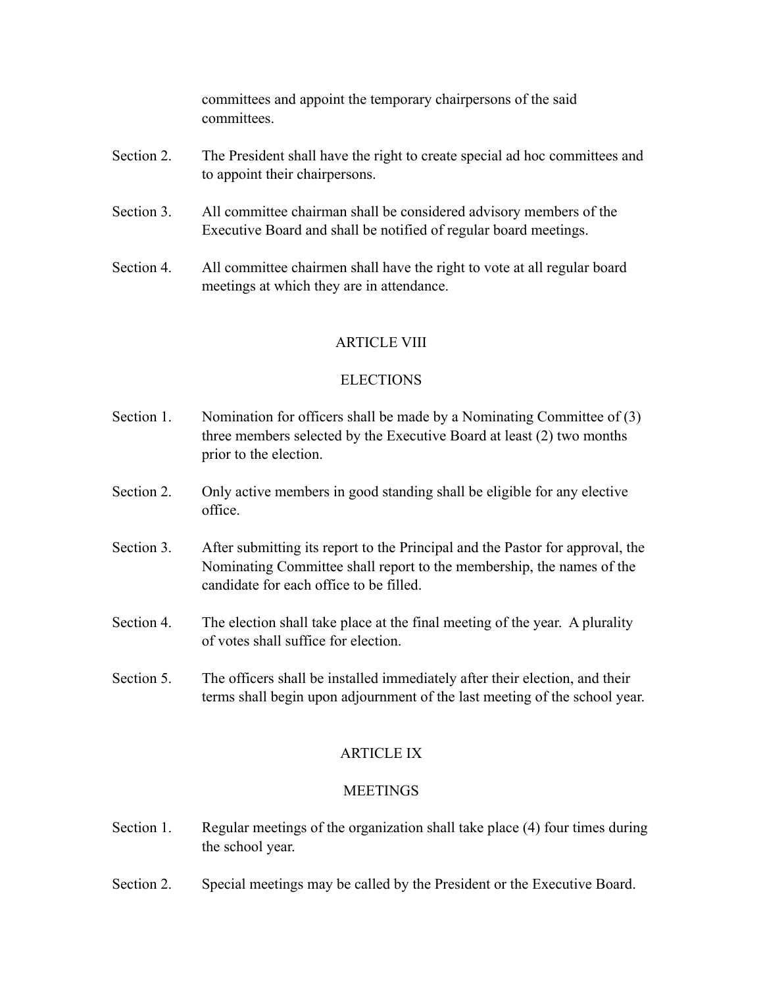committees and appoint the temporary chairpersons of the said committees.

- Section 2. The President shall have the right to create special ad hoc committees and to appoint their chairpersons.
- Section 3. All committee chairman shall be considered advisory members of the Executive Board and shall be notified of regular board meetings.
- Section 4. All committee chairmen shall have the right to vote at all regular board meetings at which they are in attendance.

## ARTICLE VIII

## ELECTIONS

- Section 1. Nomination for officers shall be made by a Nominating Committee of (3) three members selected by the Executive Board at least (2) two months prior to the election.
- Section 2. Only active members in good standing shall be eligible for any elective office.
- Section 3. After submitting its report to the Principal and the Pastor for approval, the Nominating Committee shall report to the membership, the names of the candidate for each office to be filled.
- Section 4. The election shall take place at the final meeting of the year. A plurality of votes shall suffice for election.
- Section 5. The officers shall be installed immediately after their election, and their terms shall begin upon adjournment of the last meeting of the school year.

## ARTICLE IX

### **MEETINGS**

- Section 1. Regular meetings of the organization shall take place (4) four times during the school year.
- Section 2. Special meetings may be called by the President or the Executive Board.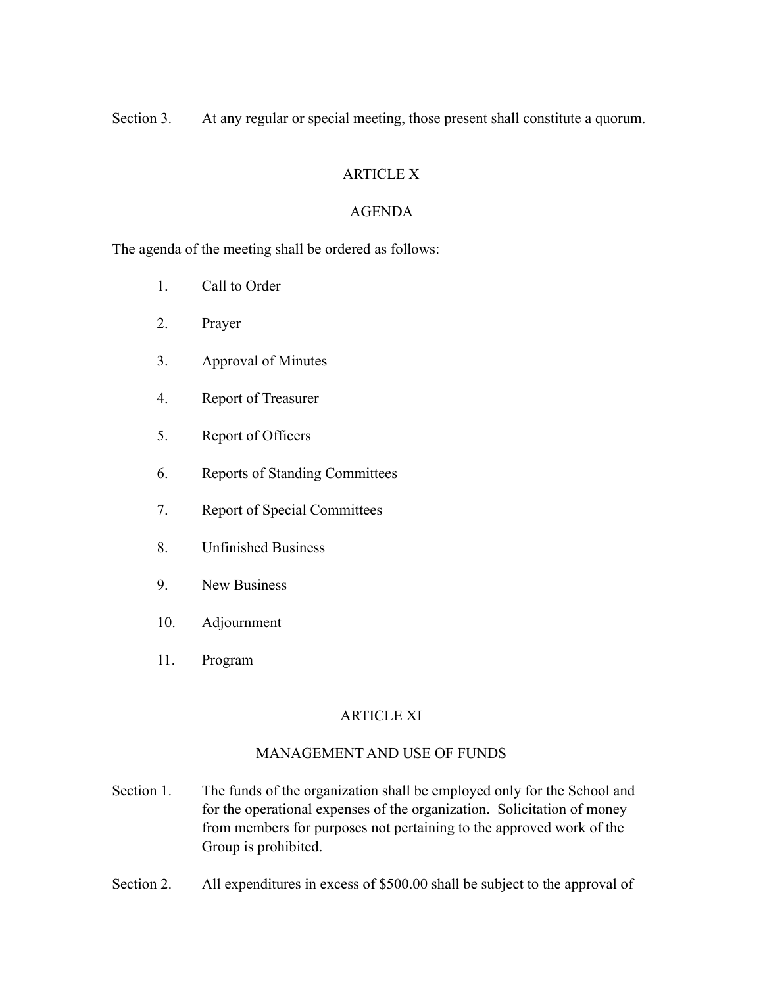Section 3. At any regular or special meeting, those present shall constitute a quorum.

# ARTICLE X

## AGENDA

The agenda of the meeting shall be ordered as follows:

- 1. Call to Order
- 2. Prayer
- 3. Approval of Minutes
- 4. Report of Treasurer
- 5. Report of Officers
- 6. Reports of Standing Committees
- 7. Report of Special Committees
- 8. Unfinished Business
- 9. New Business
- 10. Adjournment
- 11. Program

# ARTICLE XI

## MANAGEMENT AND USE OF FUNDS

- Section 1. The funds of the organization shall be employed only for the School and for the operational expenses of the organization. Solicitation of money from members for purposes not pertaining to the approved work of the Group is prohibited.
- Section 2. All expenditures in excess of \$500.00 shall be subject to the approval of